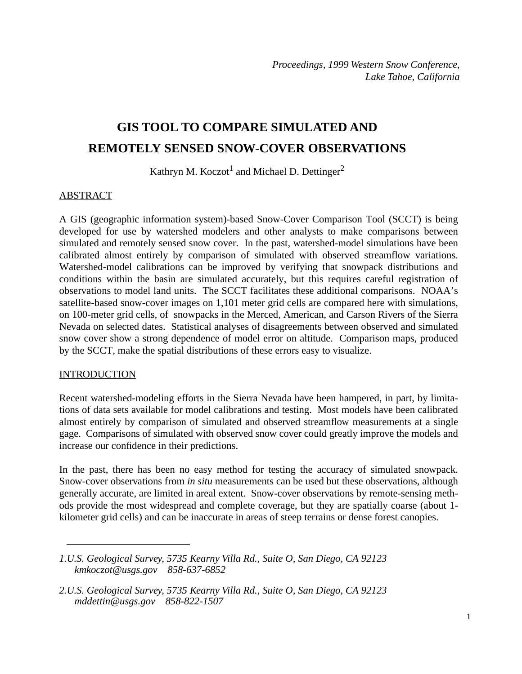# **GIS TOOL TO COMPARE SIMULATED AND REMOTELY SENSED SNOW-COVER OBSERVATIONS**

Kathryn M. Koczot<sup>1</sup> and Michael D. Dettinger<sup>2</sup>

#### ABSTRACT

A GIS (geographic information system)-based Snow-Cover Comparison Tool (SCCT) is being developed for use by watershed modelers and other analysts to make comparisons between simulated and remotely sensed snow cover. In the past, watershed-model simulations have been calibrated almost entirely by comparison of simulated with observed streamflow variations. Watershed-model calibrations can be improved by verifying that snowpack distributions and conditions within the basin are simulated accurately, but this requires careful registration of observations to model land units. The SCCT facilitates these additional comparisons. NOAA's satellite-based snow-cover images on 1,101 meter grid cells are compared here with simulations, on 100-meter grid cells, of snowpacks in the Merced, American, and Carson Rivers of the Sierra Nevada on selected dates. Statistical analyses of disagreements between observed and simulated snow cover show a strong dependence of model error on altitude. Comparison maps, produced by the SCCT, make the spatial distributions of these errors easy to visualize.

#### **INTRODUCTION**

Recent watershed-modeling efforts in the Sierra Nevada have been hampered, in part, by limitations of data sets available for model calibrations and testing. Most models have been calibrated almost entirely by comparison of simulated and observed streamflow measurements at a single gage. Comparisons of simulated with observed snow cover could greatly improve the models and increase our confidence in their predictions.

In the past, there has been no easy method for testing the accuracy of simulated snowpack. Snow-cover observations from *in situ* measurements can be used but these observations, although generally accurate, are limited in areal extent. Snow-cover observations by remote-sensing methods provide the most widespread and complete coverage, but they are spatially coarse (about 1 kilometer grid cells) and can be inaccurate in areas of steep terrains or dense forest canopies.

*<sup>1.</sup>U.S. Geological Survey, 5735 Kearny Villa Rd., Suite O, San Diego, CA 92123 kmkoczot@usgs.gov 858-637-6852*

*<sup>2.</sup>U.S. Geological Survey, 5735 Kearny Villa Rd., Suite O, San Diego, CA 92123 mddettin@usgs.gov 858-822-1507*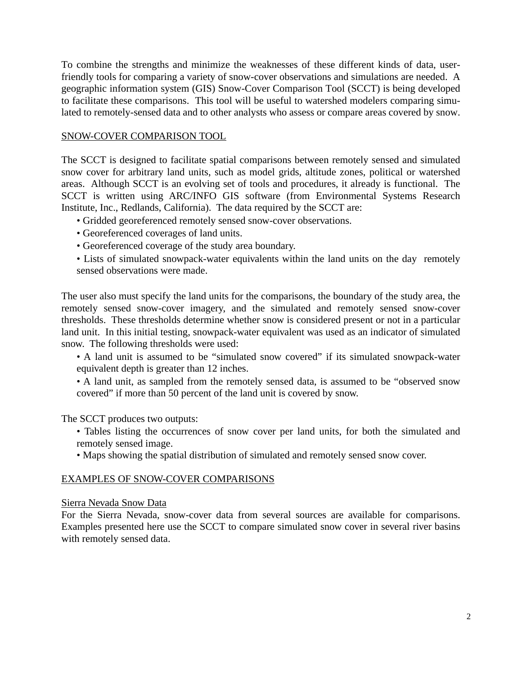To combine the strengths and minimize the weaknesses of these different kinds of data, userfriendly tools for comparing a variety of snow-cover observations and simulations are needed. A geographic information system (GIS) Snow-Cover Comparison Tool (SCCT) is being developed to facilitate these comparisons. This tool will be useful to watershed modelers comparing simulated to remotely-sensed data and to other analysts who assess or compare areas covered by snow.

## SNOW-COVER COMPARISON TOOL

The SCCT is designed to facilitate spatial comparisons between remotely sensed and simulated snow cover for arbitrary land units, such as model grids, altitude zones, political or watershed areas. Although SCCT is an evolving set of tools and procedures, it already is functional. The SCCT is written using ARC/INFO GIS software (from Environmental Systems Research Institute, Inc., Redlands, California). The data required by the SCCT are:

- Gridded georeferenced remotely sensed snow-cover observations.
- Georeferenced coverages of land units.
- Georeferenced coverage of the study area boundary.

• Lists of simulated snowpack-water equivalents within the land units on the day remotely sensed observations were made.

The user also must specify the land units for the comparisons, the boundary of the study area, the remotely sensed snow-cover imagery, and the simulated and remotely sensed snow-cover thresholds. These thresholds determine whether snow is considered present or not in a particular land unit. In this initial testing, snowpack-water equivalent was used as an indicator of simulated snow. The following thresholds were used:

• A land unit is assumed to be "simulated snow covered" if its simulated snowpack-water equivalent depth is greater than 12 inches.

• A land unit, as sampled from the remotely sensed data, is assumed to be "observed snow covered" if more than 50 percent of the land unit is covered by snow.

The SCCT produces two outputs:

- Tables listing the occurrences of snow cover per land units, for both the simulated and remotely sensed image.
- Maps showing the spatial distribution of simulated and remotely sensed snow cover.

#### EXAMPLES OF SNOW-COVER COMPARISONS

#### Sierra Nevada Snow Data

For the Sierra Nevada, snow-cover data from several sources are available for comparisons. Examples presented here use the SCCT to compare simulated snow cover in several river basins with remotely sensed data.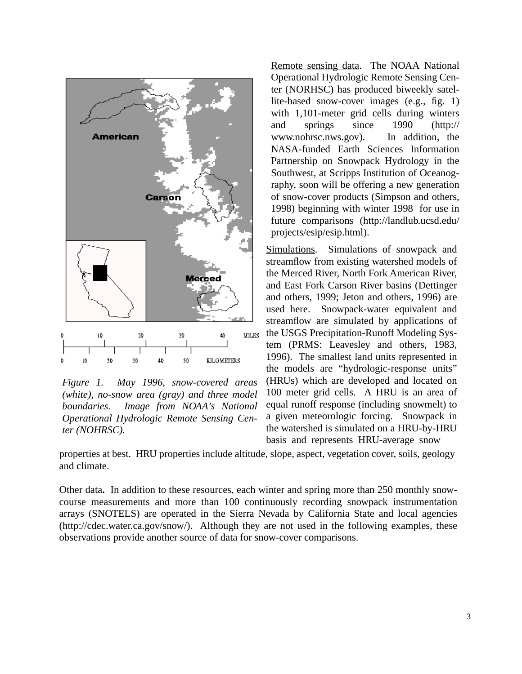

*Figure 1. May 1996, snow-covered areas (white), no-snow area (gray) and three model boundaries. Image from NOAA's National Operational Hydrologic Remote Sensing Center (NOHRSC).*

Remote sensing data. The NOAA National Operational Hydrologic Remote Sensing Center (NORHSC) has produced biweekly satellite-based snow-cover images (e.g., fig. 1) with 1,101-meter grid cells during winters and springs since 1990 (http:// www.nohrsc.nws.gov). In addition, the NASA-funded Earth Sciences Information Partnership on Snowpack Hydrology in the Southwest, at Scripps Institution of Oceanography, soon will be offering a new generation of snow-cover products (Simpson and others, 1998) beginning with winter 1998 for use in future comparisons (http://landlub.ucsd.edu/ projects/esip/esip.html).

Simulations.Simulations of snowpack and streamflow from existing watershed models of the Merced River, North Fork American River, and East Fork Carson River basins (Dettinger and others, 1999; Jeton and others, 1996) are used here. Snowpack-water equivalent and streamflow are simulated by applications of the USGS Precipitation-Runoff Modeling System (PRMS: Leavesley and others, 1983, 1996). The smallest land units represented in the models are "hydrologic-response units" (HRUs) which are developed and located on 100 meter grid cells. A HRU is an area of equal runoff response (including snowmelt) to a given meteorologic forcing. Snowpack in the watershed is simulated on a HRU-by-HRU basis and represents HRU-average snow

properties at best. HRU properties include altitude, slope, aspect, vegetation cover, soils, geology and climate.

Other data**.** In addition to these resources, each winter and spring more than 250 monthly snowcourse measurements and more than 100 continuously recording snowpack instrumentation arrays (SNOTELS) are operated in the Sierra Nevada by California State and local agencies (http://cdec.water.ca.gov/snow/). Although they are not used in the following examples, these observations provide another source of data for snow-cover comparisons.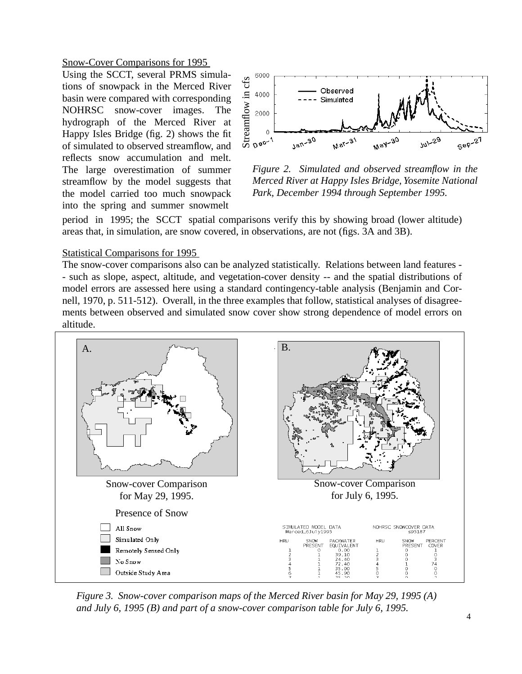Snow-Cover Comparisons for 1995

Using the SCCT, several PRMS simulations of snowpack in the Merced River basin were compared with corresponding NOHRSC snow-cover images. The hydrograph of the Merced River at Happy Isles Bridge (fig. 2) shows the fit of simulated to observed streamflow, and reflects snow accumulation and melt. The large overestimation of summer streamflow by the model suggests that the model carried too much snowpack into the spring and summer snowmelt



*Figure 2. Simulated and observed streamflow in the Merced River at Happy Isles Bridge, Yosemite National Park, December 1994 through September 1995.*

period in 1995; the SCCT spatial comparisons verify this by showing broad (lower altitude) areas that, in simulation, are snow covered, in observations, are not (figs. 3A and 3B).

### Statistical Comparisons for 1995

The snow-cover comparisons also can be analyzed statistically. Relations between land features - - such as slope, aspect, altitude, and vegetation-cover density -- and the spatial distributions of model errors are assessed here using a standard contingency-table analysis (Benjamin and Cornell, 1970, p. 511-512). Overall, in the three examples that follow, statistical analyses of disagreements between observed and simulated snow cover show strong dependence of model errors on altitude.



*Figure 3. Snow-cover comparison maps of the Merced River basin for May 29, 1995 (A) and July 6, 1995 (B) and part of a snow-cover comparison table for July 6, 1995.*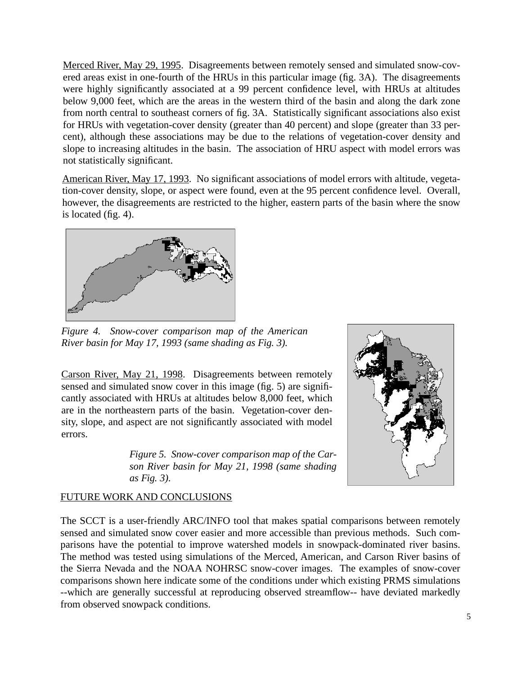Merced River, May 29, 1995. Disagreements between remotely sensed and simulated snow-covered areas exist in one-fourth of the HRUs in this particular image (fig. 3A). The disagreements were highly significantly associated at a 99 percent confidence level, with HRUs at altitudes below 9,000 feet, which are the areas in the western third of the basin and along the dark zone from north central to southeast corners of fig. 3A. Statistically significant associations also exist for HRUs with vegetation-cover density (greater than 40 percent) and slope (greater than 33 percent), although these associations may be due to the relations of vegetation-cover density and slope to increasing altitudes in the basin. The association of HRU aspect with model errors was not statistically significant.

American River, May 17, 1993. No significant associations of model errors with altitude, vegetation-cover density, slope, or aspect were found, even at the 95 percent confidence level. Overall, however, the disagreements are restricted to the higher, eastern parts of the basin where the snow is located (fig. 4).



*Figure 4. Snow-cover comparison map of the American River basin for May 17, 1993 (same shading as Fig. 3).*

Carson River, May 21, 1998. Disagreements between remotely sensed and simulated snow cover in this image (fig. 5) are significantly associated with HRUs at altitudes below 8,000 feet, which are in the northeastern parts of the basin. Vegetation-cover density, slope, and aspect are not significantly associated with model errors.

> *Figure 5. Snow-cover comparison map of the Carson River basin for May 21, 1998 (same shading as Fig. 3).*



# FUTURE WORK AND CONCLUSIONS

The SCCT is a user-friendly ARC/INFO tool that makes spatial comparisons between remotely sensed and simulated snow cover easier and more accessible than previous methods. Such comparisons have the potential to improve watershed models in snowpack-dominated river basins. The method was tested using simulations of the Merced, American, and Carson River basins of the Sierra Nevada and the NOAA NOHRSC snow-cover images. The examples of snow-cover comparisons shown here indicate some of the conditions under which existing PRMS simulations --which are generally successful at reproducing observed streamflow-- have deviated markedly from observed snowpack conditions.